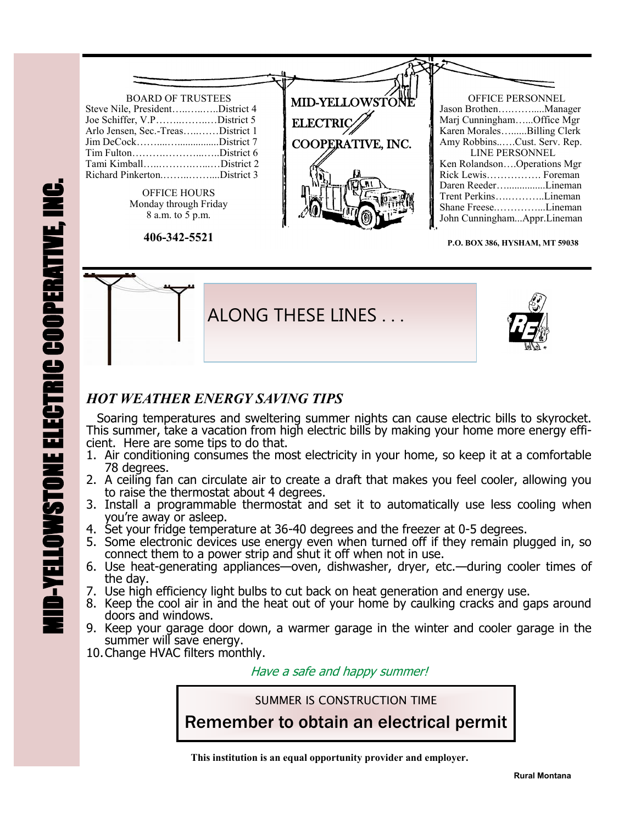## BOARD OF TRUSTEES Steve Nile, President…..…..…..District 4 Joe Schiffer, V.P……..……..…District 5 Arlo Jensen, Sec.-Treas…..……District 1 Jim DeCock……....…................District 7 Tim Fulton……….………...…..District 6 Tami Kimball…..……….…...…District 2 Richard Pinkerton.……..……....District 3 OFFICE HOURS Monday through Friday 8 a.m. to 5 p.m. **406-342-5521** OFFICE PERSONNEL Jason Brothen….…….....Manager Marj Cunningham…...Office Mgr Karen Morales…......Billing Clerk Amy Robbins..….Cust. Serv. Rep. LINE PERSONNEL Ken Rolandson….Operations Mgr Rick Lewis……………. Foreman Daren Reeder…...............Lineman Trent Perkins….………..Lineman Shane Freese.…………...Lineman John Cunningham...Appr.Lineman MID-YELLOWSTON **ELECTRIC** COOPERATIVE, INC.

**P.O. BOX 386, HYSHAM, MT 59038**



## *HOT WEATHER ENERGY SAVING TIPS*

 Soaring temperatures and sweltering summer nights can cause electric bills to skyrocket. This summer, take a vacation from high electric bills by making your home more energy efficient. Here are some tips to do that.

- 1. Air conditioning consumes the most electricity in your home, so keep it at a comfortable 78 degrees.
- 2. A ceiling fan can circulate air to create a draft that makes you feel cooler, allowing you to raise the thermostat about 4 degrees.
- 3. Install a programmable thermostat and set it to automatically use less cooling when you're away or asleep.
- 4. Set your fridge temperature at 36-40 degrees and the freezer at 0-5 degrees.
- 5. Some electronic devices use energy even when turned off if they remain plugged in, so connect them to a power strip and shut it off when not in use.
- 6. Use heat-generating appliances—oven, dishwasher, dryer, etc.—during cooler times of the day.
- 7. Use high efficiency light bulbs to cut back on heat generation and energy use.
- 8. Keep the cool air in and the heat out of your home by caulking cracks and gaps around doors and windows.
- 9. Keep your garage door down, a warmer garage in the winter and cooler garage in the summer will save energy.
- 10.Change HVAC filters monthly.

Have a safe and happy summer!

SUMMER IS CONSTRUCTION TIME

Remember to obtain an electrical permit

 **This institution is an equal opportunity provider and employer.**